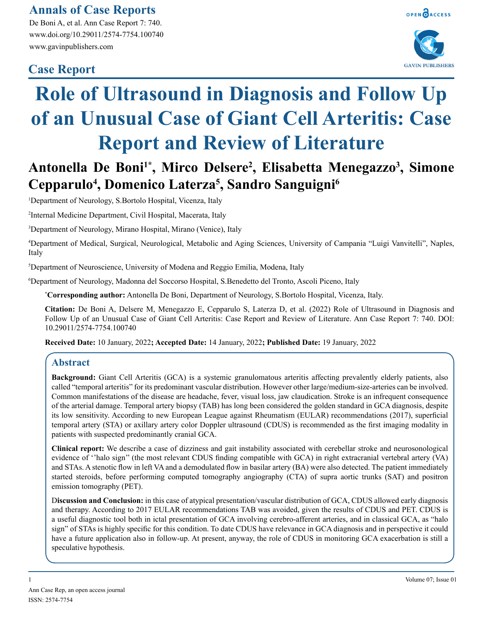# **Annals of Case Reports**

De Boni A, et al. Ann Case Report 7: 740. www.doi.org/10.29011/2574-7754.100740 www.gavinpublishers.com

# **Case Report**





# **Role of Ultrasound in Diagnosis and Follow Up of an Unusual Case of Giant Cell Arteritis: Case Report and Review of Literature**

# Antonella De Boni<sup>1\*</sup>, Mirco Delsere<sup>2</sup>, Elisabetta Menegazzo<sup>3</sup>, Simone **Cepparulo4 , Domenico Laterza5 , Sandro Sanguigni6**

1 Department of Neurology, S.Bortolo Hospital, Vicenza, Italy

2 Internal Medicine Department, Civil Hospital, Macerata, Italy

3 Department of Neurology, Mirano Hospital, Mirano (Venice), Italy

4 Department of Medical, Surgical, Neurological, Metabolic and Aging Sciences, University of Campania "Luigi Vanvitelli", Naples, Italy

5 Department of Neuroscience, University of Modena and Reggio Emilia, Modena, Italy

6 Department of Neurology, Madonna del Soccorso Hospital, S.Benedetto del Tronto, Ascoli Piceno, Italy

**\* Corresponding author:** Antonella De Boni, Department of Neurology, S.Bortolo Hospital, Vicenza, Italy.

**Citation:** De Boni A, Delsere M, Menegazzo E, Cepparulo S, Laterza D, et al. (2022) Role of Ultrasound in Diagnosis and Follow Up of an Unusual Case of Giant Cell Arteritis: Case Report and Review of Literature. Ann Case Report 7: 740. DOI: 10.29011/2574-7754.100740

**Received Date:** 10 January, 2022**; Accepted Date:** 14 January, 2022**; Published Date:** 19 January, 2022

# **Abstract**

**Background:** Giant Cell Arteritis (GCA) is a systemic granulomatous arteritis affecting prevalently elderly patients, also called "temporal arteritis" for its predominant vascular distribution. However other large/medium-size-arteries can be involved. Common manifestations of the disease are headache, fever, visual loss, jaw claudication. Stroke is an infrequent consequence of the arterial damage. Temporal artery biopsy (TAB) has long been considered the golden standard in GCA diagnosis, despite its low sensitivity. According to new European League against Rheumatism (EULAR) recommendations (2017), superficial temporal artery (STA) or axillary artery color Doppler ultrasound (CDUS) is recommended as the first imaging modality in patients with suspected predominantly cranial GCA.

**Clinical report:** We describe a case of dizziness and gait instability associated with cerebellar stroke and neurosonological evidence of ''halo sign'' (the most relevant CDUS finding compatible with GCA) in right extracranial vertebral artery (VA) and STAs. A stenotic flow in left VA and a demodulated flow in basilar artery (BA) were also detected. The patient immediately started steroids, before performing computed tomography angiography (CTA) of supra aortic trunks (SAT) and positron emission tomography (PET).

D**iscussion and Conclusion:** in this case of atypical presentation/vascular distribution of GCA, CDUS allowed early diagnosis and therapy. According to 2017 EULAR recommendations TAB was avoided, given the results of CDUS and PET. CDUS is a useful diagnostic tool both in ictal presentation of GCA involving cerebro-afferent arteries, and in classical GCA, as "halo sign" of STAs is highly specific for this condition. To date CDUS have relevance in GCA diagnosis and in perspective it could have a future application also in follow-up. At present, anyway, the role of CDUS in monitoring GCA exacerbation is still a speculative hypothesis.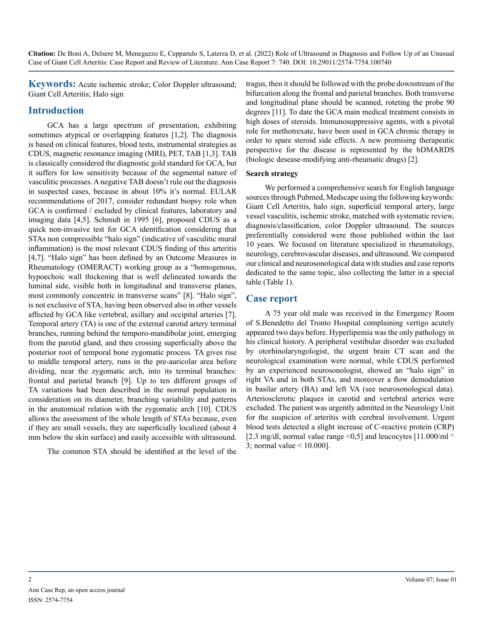**Keywords:** Acute ischemic stroke; Color Doppler ultrasound; Giant Cell Arteritis; Halo sign

## **Introduction**

GCA has a large spectrum of presentation, exhibiting sometimes atypical or overlapping features [1,2]. The diagnosis is based on clinical features, blood tests, instrumental strategies as CDUS, magnetic resonance imaging (MRI), PET, TAB [1,3]. TAB is classically considered the diagnostic gold standard for GCA, but it suffers for low sensitivity because of the segmental nature of vasculitic processes. A negative TAB doesn't rule out the diagnosis in suspected cases, because in about 10% it's normal. EULAR recommendations of 2017, consider redundant biopsy role when GCA is confirmed / escluded by clinical features, laboratory and imaging data [4,5]. Schmidt in 1995 [6], proposed CDUS as a quick non-invasive test for GCA identification considering that STAs non compressible "halo sign" (indicative of vasculitic mural inflammation) is the most relevant CDUS finding of this arteritis [4,7]. "Halo sign" has been defined by an Outcome Measures in Rheumatology (OMERACT) working group as a "homogenous, hypoechoic wall thickening that is well delineated towards the luminal side, visible both in longitudinal and transverse planes, most commonly concentric in transverse scans" [8]. "Halo sign", is not exclusive of STA, having been observed also in other vessels affected by GCA like vertebral, axillary and occipital arteries [7]. Temporal artery (TA) is one of the external carotid artery terminal branches, running behind the temporo-mandibolar joint, emerging from the parotid gland, and then crossing superficially above the posterior root of temporal bone zygomatic process. TA gives rise to middle temporal artery, runs in the pre-auricolar area before dividing, near the zygomatic arch, into its terminal branches: frontal and parietal branch [9]. Up to ten different groups of TA variations had been described in the normal population in consideration on its diameter, branching variability and patterns in the anatomical relation with the zygomatic arch [10]. CDUS allows the assessment of the whole length of STAs because, even if they are small vessels, they are superficially localized (about 4 mm below the skin surface) and easily accessible with ultrasound.

The common STA should be identified at the level of the

tragus, then it should be followed with the probe downstream of the bifurcation along the frontal and parietal branches. Both transverse and longitudinal plane should be scanned, roteting the probe 90 degrees [11]. To date the GCA main medical treatment consists in high doses of steroids. Immunosuppressive agents, with a pivotal role for methotrexate, have been used in GCA chronic therapy in order to spare steroid side effects. A new promising therapeutic perspective for the disease is represented by the bDMARDS (biologic desease-modifying anti-rheumatic drugs) [2].

#### **Search strategy**

We performed a comprehensive search for English language sources through Pubmed, Medscape using the following keywords: Giant Cell Arteritis, halo sign, superficial temporal artery, large vessel vasculitis, ischemic stroke, matched with systematic review, diagnosis/classification, color Doppler ultrasound. The sources preferentially considered were those published within the last 10 years. We focused on literature specialized in rheumatology, neurology, cerebrovascular diseases, and ultrasound. We compared our clinical and neurosonological data with studies and case reports dedicated to the same topic, also collecting the latter in a special table (Table 1).

#### **Case report**

A 75 year old male was received in the Emergency Room of S.Benedetto del Tronto Hospital complaining vertigo acutely appeared two days before. Hyperlipemia was the only pathology in his clinical history. A peripheral vestibular disorder was excluded by otorhinolaryngologist, the urgent brain CT scan and the neurological examination were normal, while CDUS performed by an experienced neurosonologist, showed an "halo sign" in right VA and in both STAs, and moreover a flow demodulation in basilar artery (BA) and left VA (see neurosonological data). Arteriosclerotic plaques in carotid and vertebral arteries were excluded. The patient was urgently admitted in the Neurology Unit for the suspicion of arteritis with cerebral involvement. Urgent blood tests detected a slight increase of C-reactive protein (CRP) [2.3 mg/dl, normal value range <0,5] and leucocytes [11.000/ml  $\sim$ 3; normal value < 10.000].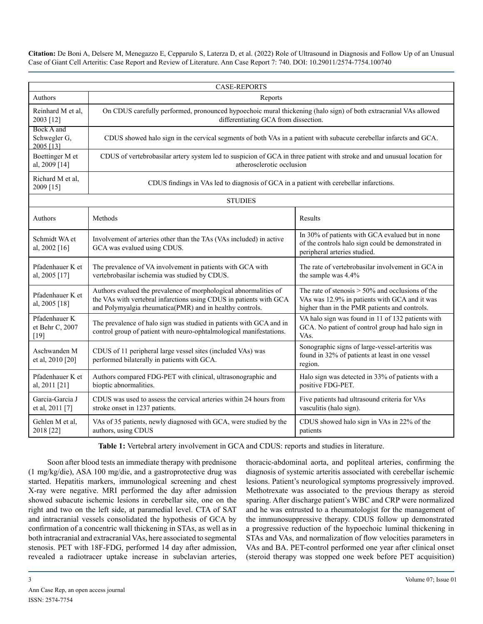| <b>CASE-REPORTS</b>                        |                                                                                                                                                                                                    |                                                                                                                                                       |
|--------------------------------------------|----------------------------------------------------------------------------------------------------------------------------------------------------------------------------------------------------|-------------------------------------------------------------------------------------------------------------------------------------------------------|
| Authors                                    | Reports                                                                                                                                                                                            |                                                                                                                                                       |
| Reinhard M et al.<br>2003 [12]             | On CDUS carefully performed, pronounced hypoechoic mural thickening (halo sign) of both extracranial VAs allowed<br>differentiating GCA from dissection.                                           |                                                                                                                                                       |
| Bock A and<br>Schwegler G,<br>2005 [13]    | CDUS showed halo sign in the cervical segments of both VAs in a patient with subacute cerebellar infarcts and GCA.                                                                                 |                                                                                                                                                       |
| Boettinger M et<br>al, 2009 [14]           | CDUS of vertebrobasilar artery system led to suspicion of GCA in three patient with stroke and and unusual location for<br>atherosclerotic occlusion                                               |                                                                                                                                                       |
| Richard M et al,<br>2009 [15]              | CDUS findings in VAs led to diagnosis of GCA in a patient with cerebellar infarctions.                                                                                                             |                                                                                                                                                       |
| <b>STUDIES</b>                             |                                                                                                                                                                                                    |                                                                                                                                                       |
| Authors                                    | Methods                                                                                                                                                                                            | Results                                                                                                                                               |
| Schmidt WA et<br>al, 2002 [16]             | Involvement of arteries other than the TAs (VAs included) in active<br>GCA was evalued using CDUS.                                                                                                 | In 30% of patients with GCA evalued but in none<br>of the controls halo sign could be demonstrated in<br>peripheral arteries studied.                 |
| Pfadenhauer K et<br>al, 2005 [17]          | The prevalence of VA involvement in patients with GCA with<br>vertebrobasilar ischemia was studied by CDUS.                                                                                        | The rate of vertebrobasilar involvement in GCA in<br>the sample was 4.4%                                                                              |
| Pfadenhauer K et<br>al, 2005 [18]          | Authors evalued the prevalence of morphological abnormalities of<br>the VAs with vertebral infarctions using CDUS in patients with GCA<br>and Polymyalgia rheumatica(PMR) and in healthy controls. | The rate of stenosis $> 50\%$ and occlusions of the<br>VAs was 12.9% in patients with GCA and it was<br>higher than in the PMR patients and controls. |
| Pfadenhauer K<br>et Behr C, 2007<br>$[19]$ | The prevalence of halo sign was studied in patients with GCA and in<br>control group of patient with neuro-ophtalmological manifestations.                                                         | VA halo sign was found in 11 of 132 patients with<br>GCA. No patient of control group had halo sign in<br>VA <sub>s</sub> .                           |
| Aschwanden M<br>et al, 2010 [20]           | CDUS of 11 peripheral large vessel sites (included VAs) was<br>performed bilaterally in patients with GCA.                                                                                         | Sonographic signs of large-vessel-arteritis was<br>found in 32% of patients at least in one vessel<br>region.                                         |
| Pfadenhauer K et<br>al, 2011 [21]          | Authors compared FDG-PET with clinical, ultrasonographic and<br>bioptic abnormalities.                                                                                                             | Halo sign was detected in 33% of patients with a<br>positive FDG-PET.                                                                                 |
| Garcia-Garcia J<br>et al, 2011 [7]         | CDUS was used to assess the cervical arteries within 24 hours from<br>stroke onset in 1237 patients.                                                                                               | Five patients had ultrasound criteria for VAs<br>vasculitis (halo sign).                                                                              |
| Gehlen M et al,<br>2018 [22]               | VAs of 35 patients, newly diagnosed with GCA, were studied by the<br>authors, using CDUS                                                                                                           | CDUS showed halo sign in VAs in 22% of the<br>patients                                                                                                |

**Table 1:** Vertebral artery involvement in GCA and CDUS: reports and studies in literature.

Soon after blood tests an immediate therapy with prednisone (1 mg/kg/die), ASA 100 mg/die, and a gastroprotective drug was started. Hepatitis markers, immunological screening and chest X-ray were negative. MRI performed the day after admission showed subacute ischemic lesions in cerebellar site, one on the right and two on the left side, at paramedial level. CTA of SAT and intracranial vessels consolidated the hypothesis of GCA by confirmation of a concentric wall thickening in STAs, as well as in both intracranial and extracranial VAs, here associated to segmental stenosis. PET with 18F-FDG, performed 14 day after admission, revealed a radiotracer uptake increase in subclavian arteries,

thoracic-abdominal aorta, and popliteal arteries, confirming the diagnosis of systemic arteritis associated with cerebellar ischemic lesions. Patient's neurological symptoms progressively improved. Methotrexate was associated to the previous therapy as steroid sparing. After discharge patient's WBC and CRP were normalized and he was entrusted to a rheumatologist for the management of the immunosuppressive therapy. CDUS follow up demonstrated a progressive reduction of the hypoechoic luminal thickening in STAs and VAs, and normalization of flow velocities parameters in VAs and BA. PET-control performed one year after clinical onset (steroid therapy was stopped one week before PET acquisition)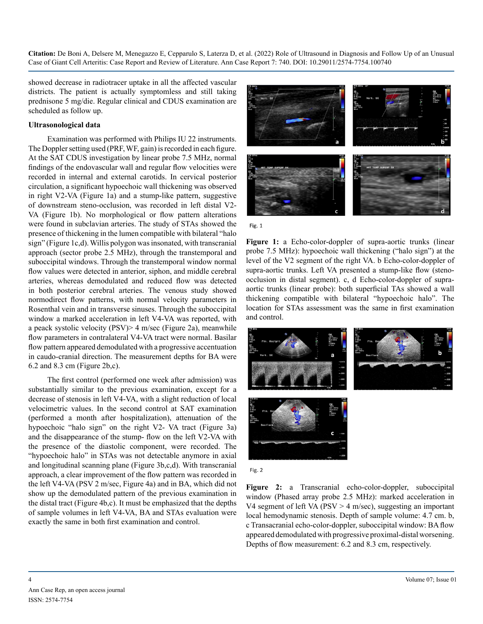showed decrease in radiotracer uptake in all the affected vascular districts. The patient is actually symptomless and still taking prednisone 5 mg/die. Regular clinical and CDUS examination are scheduled as follow up.

#### **Ultrasonological data**

Examination was performed with Philips IU 22 instruments. The Doppler setting used (PRF, WF, gain) is recorded in each figure. At the SAT CDUS investigation by linear probe 7.5 MHz, normal findings of the endovascular wall and regular flow velocities were recorded in internal and external carotids. In cervical posterior circulation, a significant hypoechoic wall thickening was observed in right V2-VA (Figure 1a) and a stump-like pattern, suggestive of downstream steno-occlusion, was recorded in left distal V2- VA (Figure 1b). No morphological or flow pattern alterations were found in subclavian arteries. The study of STAs showed the presence of thickening in the lumen compatible with bilateral "halo sign" (Figure 1c,d). Willis polygon was insonated, with transcranial approach (sector probe 2.5 MHz), through the transtemporal and suboccipital windows. Through the transtemporal window normal flow values were detected in anterior, siphon, and middle cerebral arteries, whereas demodulated and reduced flow was detected in both posterior cerebral arteries. The venous study showed normodirect flow patterns, with normal velocity parameters in Rosenthal vein and in transverse sinuses. Through the suboccipital window a marked acceleration in left V4-VA was reported, with a peack systolic velocity (PSV)> 4 m/sec (Figure 2a), meanwhile flow parameters in contralateral V4-VA tract were normal. Basilar flow pattern appeared demodulated with a progressive accentuation in caudo-cranial direction. The measurement depths for BA were 6.2 and 8.3 cm (Figure 2b,c).

The first control (performed one week after admission) was substantially similar to the previous examination, except for a decrease of stenosis in left V4-VA, with a slight reduction of local velocimetric values. In the second control at SAT examination (performed a month after hospitalization), attenuation of the hypoechoic "halo sign" on the right V2- VA tract (Figure 3a) and the disappearance of the stump- flow on the left V2-VA with the presence of the diastolic component, were recorded. The "hypoechoic halo" in STAs was not detectable anymore in axial and longitudinal scanning plane (Figure 3b,c,d). With transcranial approach, a clear improvement of the flow pattern was recorded in the left V4-VA (PSV 2 m/sec, Figure 4a) and in BA, which did not show up the demodulated pattern of the previous examination in the distal tract (Figure 4b,c). It must be emphasized that the depths of sample volumes in left V4-VA, BA and STAs evaluation were exactly the same in both first examination and control.



Fig. 1

**Figure 1:** a Echo-color-doppler of supra-aortic trunks (linear probe 7.5 MHz): hypoechoic wall thickening ("halo sign") at the level of the V2 segment of the right VA. b Echo-color-doppler of supra-aortic trunks. Left VA presented a stump-like flow (stenoocclusion in distal segment). c, d Echo-color-doppler of supraaortic trunks (linear probe): both superficial TAs showed a wall thickening compatible with bilateral "hypoechoic halo". The location for STAs assessment was the same in first examination and control.



Fig. 2

**Figure 2:** a Transcranial echo-color-doppler, suboccipital window (Phased array probe 2.5 MHz): marked acceleration in V4 segment of left VA ( $PSV > 4$  m/sec), suggesting an important local hemodynamic stenosis. Depth of sample volume: 4.7 cm. b, c Transacranial echo-color-doppler, suboccipital window: BA flow appeared demodulated with progressive proximal-distal worsening. Depths of flow measurement: 6.2 and 8.3 cm, respectively.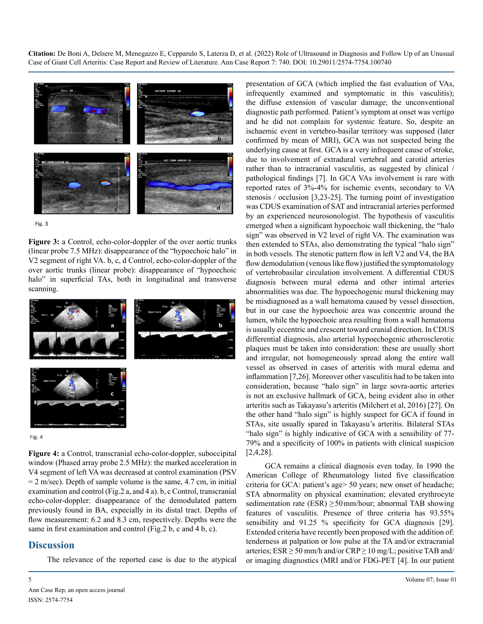



**Figure 3:** a Control, echo-color-doppler of the over aortic trunks (linear probe 7.5 MHz): disappearance of the "hypoechoic halo" in V2 segment of right VA. b, c, d Control, echo-color-doppler of the over aortic trunks (linear probe): disappearance of "hypoechoic halo" in superficial TAs, both in longitudinal and transverse scanning.



Fig. 4

**Figure 4:** a Control, transcranial echo-color-doppler, suboccipital window (Phased array probe 2.5 MHz): the marked acceleration in V4 segment of left VA was decreased at control examination (PSV  $= 2$  m/sec). Depth of sample volume is the same, 4.7 cm, in initial examination and control (Fig.2 a, and 4 a). b, c Control, transcranial echo-color-doppler: disappearance of the demodulated pattern previously found in BA, expecially in its distal tract. Depths of flow measurement: 6.2 and 8.3 cm, respectively. Depths were the same in first examination and control (Fig.2 b, c and 4 b, c).

### **Discussion**

The relevance of the reported case is due to the atypical

presentation of GCA (which implied the fast evaluation of VAs, infrequently examined and symptomatic in this vasculitis); the diffuse extension of vascular damage; the unconventional diagnostic path performed. Patient's symptom at onset was vertigo and he did not complain for systemic feature. So, despite an ischaemic event in vertebro-basilar territory was supposed (later confirmed by mean of MRI), GCA was not suspected being the underlying cause at first. GCA is a very infrequent cause of stroke, due to involvement of extradural vertebral and carotid arteries rather than to intracranial vasculitis, as suggested by clinical / pathological findings [7]. In GCA VAs involvement is rare with reported rates of 3%-4% for ischemic events, secondary to VA stenosis / occlusion [3,23-25]. The turning point of investigation was CDUS examination of SAT and intracranial arteries performed by an experienced neurosonologist. The hypothesis of vasculitis emerged when a significant hypoechoic wall thickening, the "halo sign" was observed in V2 level of right VA. The examination was then extended to STAs, also demonstrating the typical "halo sign" in both vessels. The stenotic pattern flow in left V2 and V4, the BA flow demodulation (venous like flow) justified the symptomatology of vertebrobasilar circulation involvement. A differential CDUS diagnosis between mural edema and other intimal arteries abnormalities was due. The hypoechogenic mural thickening may be misdiagnosed as a wall hematoma caused by vessel dissection, but in our case the hypoechoic area was concentric around the lumen, while the hypoechoic area resulting from a wall hematoma is usually eccentric and crescent toward cranial direction. In CDUS differential diagnosis, also arterial hypoechogenic atherosclerotic plaques must be taken into consideration: these are usually short and irregular, not homogeneously spread along the entire wall vessel as observed in cases of arteritis with mural edema and inflammation [7,26]. Moreover other vasculitis had to be taken into consideration, because "halo sign" in large sovra-aortic arteries is not an exclusive hallmark of GCA, being evident also in other arteritis such as Takayasu's arteritis (Milchert et al, 2016) [27]. On the other hand "halo sign" is highly suspect for GCA if found in STAs, site usually spared in Takayasu's arteritis. Bilateral STAs "halo sign" is highly indicative of GCA with a sensibility of 77- 79% and a specificity of 100% in patients with clinical suspicion [2,4,28].

GCA remains a clinical diagnosis even today. In 1990 the American College of Rheumatology listed five classification criteria for GCA: patient's age> 50 years; new onset of headache; STA abnormality on physical examination; elevated erythrocyte sedimentation rate (ESR)  $\geq$  50 mm/hour; abnormal TAB showing features of vasculitis. Presence of three criteria has 93.55% sensibility and 91.25 % specificity for GCA diagnosis [29]. Extended criteria have recently been proposed with the addition of: tenderness at palpation or low pulse at the TA and/or extracranial arteries;  $ESR \ge 50$  mm/h and/or  $CRP \ge 10$  mg/L; positive TAB and/ or imaging diagnostics (MRI and/or FDG-PET [4]. In our patient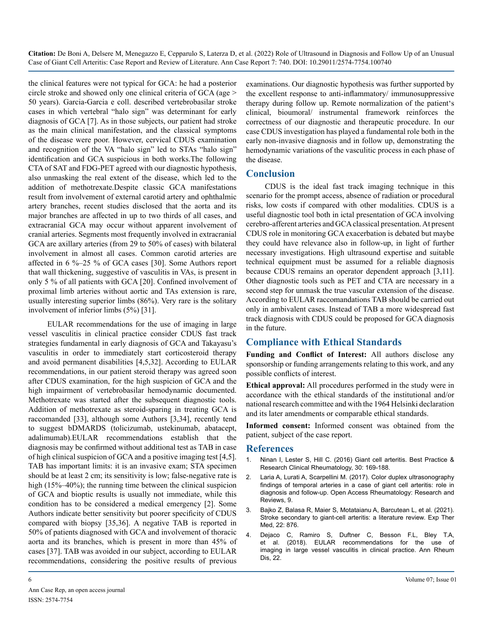the clinical features were not typical for GCA: he had a posterior circle stroke and showed only one clinical criteria of GCA (age > 50 years). Garcia-Garcia e coll. described vertebrobasilar stroke cases in which vertebral "halo sign" was determinant for early diagnosis of GCA [7]. As in those subjects, our patient had stroke as the main clinical manifestation, and the classical symptoms of the disease were poor. However, cervical CDUS examination and recognition of the VA "halo sign" led to STAs "halo sign" identification and GCA suspicious in both works.The following CTA of SAT and FDG-PET agreed with our diagnostic hypothesis, also unmasking the real extent of the disease, which led to the addition of methotrexate.Despite classic GCA manifestations result from involvement of external carotid artery and ophthalmic artery branches, recent studies disclosed that the aorta and its major branches are affected in up to two thirds of all cases, and extracranial GCA may occur without apparent involvement of cranial arteries. Segments most frequently involved in extracranial GCA are axillary arteries (from 29 to 50% of cases) with bilateral involvement in almost all cases. Common carotid arteries are affected in 6 %–25 % of GCA cases [30]. Some Authors report that wall thickening, suggestive of vasculitis in VAs, is present in only 5 % of all patients with GCA [20]. Confined involvement of proximal limb arteries without aortic and TAs extension is rare, usually interesting superior limbs (86%). Very rare is the solitary involvement of inferior limbs (5%) [31].

EULAR recommendations for the use of imaging in large vessel vasculitis in clinical practice consider CDUS fast track strategies fundamental in early diagnosis of GCA and Takayasu's vasculitis in order to immediately start corticosteroid therapy and avoid permanent disabilities [4,5,32]. According to EULAR recommendations, in our patient steroid therapy was agreed soon after CDUS examination, for the high suspicion of GCA and the high impairment of vertebrobasilar hemodynamic documented. Methotrexate was started after the subsequent diagnostic tools. Addition of methotrexate as steroid-sparing in treating GCA is raccomanded [33], although some Authors [3,34], recently tend to suggest bDMARDS (tolicizumab, ustekinumab, abatacept, adalimumab).EULAR recommendations establish that the diagnosis may be confirmed without additional test as TAB in case of high clinical suspicion of GCA and a positive imaging test [4,5]. TAB has important limits: it is an invasive exam; STA specimen should be at least 2 cm; its sensitivity is low; false-negative rate is high (15%–40%); the running time between the clinical suspicion of GCA and bioptic results is usually not immediate, while this condition has to be considered a medical emergency [2]. Some Authors indicate better sensitivity but poorer specificity of CDUS compared with biopsy [35,36]. A negative TAB is reported in 50% of patients diagnosed with GCA and involvement of thoracic aorta and its branches, which is present in more than 45% of cases [37]. TAB was avoided in our subject, according to EULAR recommendations, considering the positive results of previous

examinations. Our diagnostic hypothesis was further supported by the excellent response to anti-inflammatory/ immunosuppressive therapy during follow up. Remote normalization of the patient's clinical, bioumoral/ instrumental framework reinforces the correctness of our diagnostic and therapeutic procedure. In our case CDUS investigation has played a fundamental role both in the early non-invasive diagnosis and in follow up, demonstrating the hemodynamic variations of the vasculitic process in each phase of the disease.

## **Conclusion**

CDUS is the ideal fast track imaging technique in this scenario for the prompt access, absence of radiation or procedural risks, low costs if compared with other modalities. CDUS is a useful diagnostic tool both in ictal presentation of GCA involving cerebro-afferent arteries and GCA classical presentation. At present CDUS role in monitoring GCA exacerbation is debated but maybe they could have relevance also in follow-up, in light of further necessary investigations. High ultrasound expertise and suitable technical equipment must be assumed for a reliable diagnosis because CDUS remains an operator dependent approach [3,11]. Other diagnostic tools such as PET and CTA are necessary in a second step for unmask the true vascular extension of the disease. According to EULAR raccomandations TAB should be carried out only in ambivalent cases. Instead of TAB a more widespread fast track diagnosis with CDUS could be proposed for GCA diagnosis in the future.

# **Compliance with Ethical Standards**

**Funding and Conflict of Interest:** All authors disclose any sponsorship or funding arrangements relating to this work, and any possible conflicts of interest.

**Ethical approval:** All procedures performed in the study were in accordance with the ethical standards of the institutional and/or national research committee and with the 1964 Helsinki declaration and its later amendments or comparable ethical standards.

**Informed consent:** Informed consent was obtained from the patient, subject of the case report.

#### **References**

- 1. Ninan I, Lester S, Hill C. (2016) Giant cell arteritis. Best Practice & Research Clinical Rheumatology, 30: 169-188.
- 2. Laria A, Lurati A, Scarpellini M. (2017). Color duplex ultrasonography findings of temporal arteries in a case of giant cell arteritis: role in diagnosis and follow-up. Open Access Rheumatology: Research and Reviews, 9.
- 3. [Bajko Z, Balasa R, Maier S, Motataianu A, Barcutean L, et al. \(2021\).](file:///C:/Users/phani/Desktop/10.3892/etm.2021.10308) [Stroke secondary to giant-cell arteritis: a literature review. Exp Ther](file:///C:/Users/phani/Desktop/10.3892/etm.2021.10308)  [Med, 22: 876.](file:///C:/Users/phani/Desktop/10.3892/etm.2021.10308)
- Dejaco C, Ramiro S, Duftner C, Besson F.L, Bley T.A, et al. (2018). EULAR recommendations for the use of imaging in large vessel vasculitis in clinical practice. Ann Rheum Dis, 22.